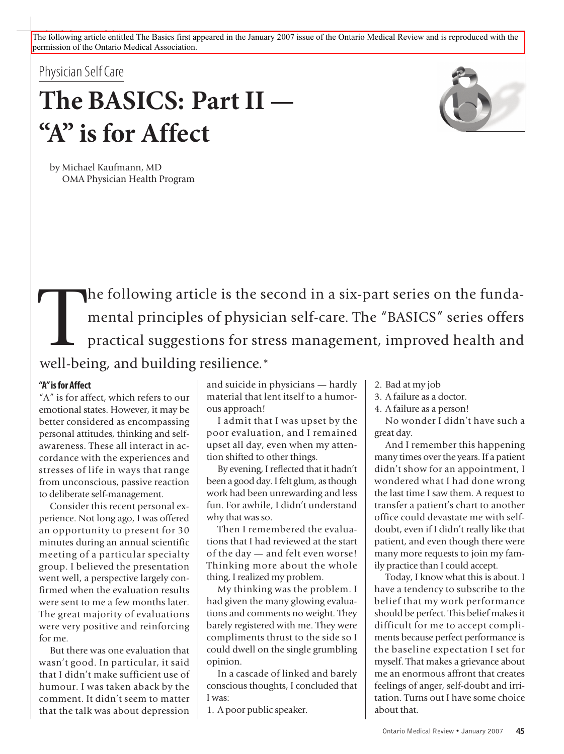The following article entitled The Basics first appeared in the January 2007 issue of the Ontario Medical Review and is reproduced with the permission of the Ontario Medical Association.

# Physician Self Care

# **The BASICS: PartII — "A" isfor Affect**



by Michael Kaufmann, MD OMA Physician Health Program

The following article is the second in a six-part series on the funda-<br>mental principles of physician self-care. The "BASICS" series offers<br>practical suggestions for stress management, improved health and<br>well being and bu mental principles of physician self-care. The "BASICS" series offers practical suggestions for stress management, improved health and well-being, and building resilience.\*

#### **"A"isfor Affect**

"A" is for affect, which refers to our emotional states. However, it may be better considered as encompassing personal attitudes, thinking and selfawareness. These all interact in accordance with the experiences and stresses of life in ways that range from unconscious, passive reaction to deliberate self-management.

Consider this recent personal experience. Not long ago, I was offered an opportunity to present for 30 minutes during an annual scientific meeting of a particular specialty group. I believed the presentation went well, a perspective largely confirmed when the evaluation results were sent to me a few months later. The great majority of evaluations were very positive and reinforcing for me.

But there was one evaluation that wasn't good. In particular, it said that I didn't make sufficient use of humour. I was taken aback by the comment. It didn't seem to matter that the talk was about depression

and suicide in physicians — hardly material that lent itself to a humorous approach!

I admit that I was upset by the poor evaluation, and I remained upset all day, even when my attention shifted to other things.

By evening, I reflected that it hadn't been a good day. I felt glum, as though work had been unrewarding and less fun. For awhile, I didn't understand why that was so.

Then I remembered the evaluations that I had reviewed at the start of the day — and felt even worse! Thinking more about the whole thing, I realized my problem.

My thinking was the problem. I had given the many glowing evaluations and comments no weight. They barely registered with me. They were compliments thrust to the side so I could dwell on the single grumbling opinion.

In a cascade of linked and barely conscious thoughts, I concluded that I was:

1. A poor public speaker.

- 2. Bad at my job
- 3. A failure as a doctor.
- 4. A failure as a person!

No wonder I didn't have such a great day.

And I remember this happening many times over the years. If a patient didn't show for an appointment, I wondered what I had done wrong the last time I saw them. A request to transfer a patient's chart to another office could devastate me with selfdoubt, even if I didn't really like that patient, and even though there were many more requests to join my family practice than I could accept.

Today, I know what this is about. I have a tendency to subscribe to the belief that my work performance should be perfect. This belief makes it difficult for me to accept compliments because perfect performance is the baseline expectation I set for myself. That makes a grievance about me an enormous affront that creates feelings of anger, self-doubt and irritation. Turns out I have some choice about that.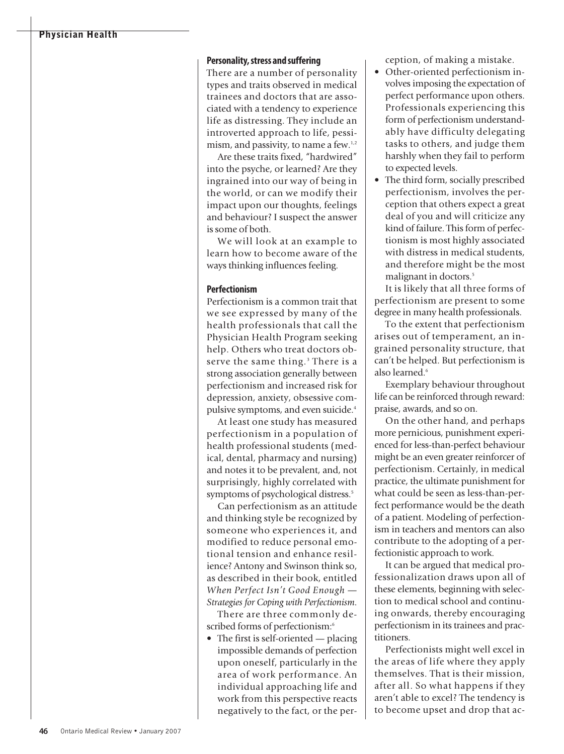# **Physician Health**

#### **Personality, stress and suffering**

There are a number of personality types and traits observed in medical trainees and doctors that are associated with a tendency to experience life as distressing. They include an introverted approach to life, pessimism, and passivity, to name a few.<sup>1,2</sup>

Are these traits fixed, "hardwired" into the psyche, or learned? Are they ingrained into our way of being in the world, or can we modify their impact upon our thoughts, feelings and behaviour? I suspect the answer is some of both.

We will look at an example to learn how to become aware of the ways thinking influences feeling.

#### **Perfectionism**

Perfectionism is a common trait that we see expressed by many of the health professionals that call the Physician Health Program seeking help. Others who treat doctors observe the same thing. <sup>3</sup> There is a strong association generally between perfectionism and increased risk for depression, anxiety, obsessive compulsive symptoms, and even suicide. 4

At least one study has measured perfectionism in a population of health professional students (medical, dental, pharmacy and nursing) and notes it to be prevalent, and, not surprisingly, highly correlated with symptoms of psychological distress. 5

Can perfectionism as an attitude and thinking style be recognized by someone who experiences it, and modified to reduce personal emotional tension and enhance resilience? Antony and Swinson think so, as described in their book, entitled *When Perfect Isn't Good Enough — Strategies for Coping with Perfectionism*.

There are three commonly described forms of perfectionism:6

• The first is self-oriented — placing impossible demands of perfection upon oneself, particularly in the area of work performance. An individual approaching life and work from this perspective reacts negatively to the fact, or the perception, of making a mistake.

- Other-oriented perfectionism involvesimposing the expectation of perfect performance upon others. Professionals experiencing this form of perfectionism understandably have difficulty delegating tasks to others, and judge them harshly when they fail to perform to expected levels.
- The third form, socially prescribed perfectionism, involves the perception that others expect a great deal of you and will criticize any kind of failure. This form of perfectionism is most highly associated with distress in medical students, and therefore might be the most malignant in doctors. 5

It is likely that all three forms of perfectionism are present to some degree in many health professionals.

To the extent that perfectionism arises out of temperament, an ingrained personality structure, that can't be helped. But perfectionism is also learned. 6

Exemplary behaviour throughout life can be reinforced through reward: praise, awards, and so on.

On the other hand, and perhaps more pernicious, punishment experienced for less-than-perfect behaviour might be an even greater reinforcer of perfectionism. Certainly, in medical practice, the ultimate punishment for what could be seen as less-than-perfect performance would be the death of a patient. Modeling of perfectionism in teachers and mentors can also contribute to the adopting of a perfectionistic approach to work.

It can be argued that medical professionalization draws upon all of these elements, beginning with selection to medical school and continuing onwards, thereby encouraging perfectionism in its trainees and practitioners.

Perfectionists might well excel in the areas of life where they apply themselves. That is their mission, after all. So what happens if they aren't able to excel? The tendency is to become upset and drop that ac-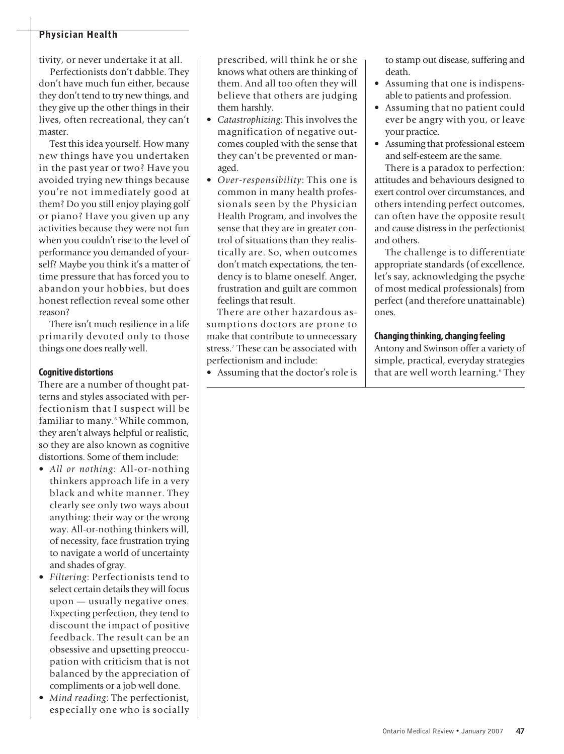# **Physician Health**

tivity, or never undertake it at all.

Perfectionists don't dabble. They don't have much fun either, because they don't tend to try new things, and they give up the other things in their lives, often recreational, they can't master.

Test this idea yourself. How many new things have you undertaken in the past year or two? Have you avoided trying new things because you're not immediately good at them? Do you still enjoy playing golf or piano? Have you given up any activities because they were not fun when you couldn't rise to the level of performance you demanded of yourself? Maybe you think it's a matter of time pressure that has forced you to abandon your hobbies, but does honest reflection reveal some other reason?

There isn't much resilience in a life primarily devoted only to those things one does really well.

#### **Cognitive distortions**

There are a number of thought patterns and styles associated with perfectionism that I suspect will be familiar to many. <sup>6</sup> While common, they aren't always helpful or realistic, so they are also known as cognitive distortions. Some of them include:

- *All or nothing*: All-or-nothing thinkers approach life in a very black and white manner. They clearly see only two ways about anything: their way or the wrong way. All-or-nothing thinkers will, of necessity, face frustration trying to navigate a world of uncertainty and shades of gray.
- *Filtering*: Perfectionists tend to select certain details they will focus upon — usually negative ones. Expecting perfection, they tend to discount the impact of positive feedback. The result can be an obsessive and upsetting preoccupation with criticism that is not balanced by the appreciation of compliments or a job well done.
- *Mind reading*: The perfectionist, especially one who is socially

prescribed, will think he or she knows what others are thinking of them. And all too often they will believe that others are judging them harshly.

- *Catastrophizing*: This involves the magnification of negative outcomes coupled with the sense that they can't be prevented or managed.
- *Over-responsibility*: This one is common in many health professionals seen by the Physician Health Program, and involves the sense that they are in greater control of situations than they realistically are. So, when outcomes don't match expectations, the tendency is to blame oneself. Anger, frustration and guilt are common feelings that result.

There are other hazardous assumptions doctors are prone to make that contribute to unnecessary stress. <sup>7</sup> These can be associated with perfectionism and include:

• Assuming that the doctor's role is

to stamp out disease, suffering and death.

- Assuming that one is indispensable to patients and profession.
- Assuming that no patient could ever be angry with you, or leave your practice.
- Assuming that professional esteem and self-esteem are the same.

There is a paradox to perfection: attitudes and behaviours designed to exert control over circumstances, and others intending perfect outcomes, can often have the opposite result and cause distress in the perfectionist and others.

The challenge is to differentiate appropriate standards (of excellence, let's say, acknowledging the psyche of most medical professionals) from perfect (and therefore unattainable) ones.

#### **Changing thinking,changing feeling**

Antony and Swinson offer a variety of simple, practical, everyday strategies that are well worth learning. <sup>6</sup> They